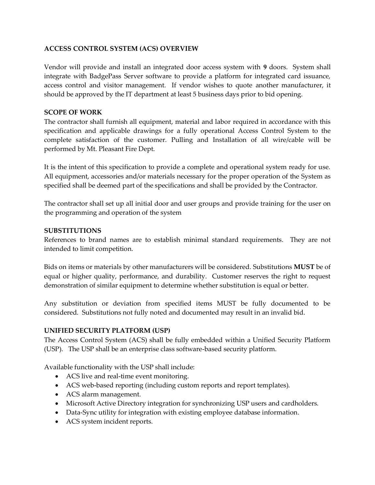### **ACCESS CONTROL SYSTEM (ACS) OVERVIEW**

Vendor will provide and install an integrated door access system with **9** doors. System shall integrate with BadgePass Server software to provide a platform for integrated card issuance, access control and visitor management. If vendor wishes to quote another manufacturer, it should be approved by the IT department at least 5 business days prior to bid opening.

#### **SCOPE OF WORK**

The contractor shall furnish all equipment, material and labor required in accordance with this specification and applicable drawings for a fully operational Access Control System to the complete satisfaction of the customer. Pulling and Installation of all wire/cable will be performed by Mt. Pleasant Fire Dept.

It is the intent of this specification to provide a complete and operational system ready for use. All equipment, accessories and/or materials necessary for the proper operation of the System as specified shall be deemed part of the specifications and shall be provided by the Contractor.

The contractor shall set up all initial door and user groups and provide training for the user on the programming and operation of the system

#### **SUBSTITUTIONS**

References to brand names are to establish minimal standard requirements. They are not intended to limit competition.

Bids on items or materials by other manufacturers will be considered. Substitutions **MUST** be of equal or higher quality, performance, and durability. Customer reserves the right to request demonstration of similar equipment to determine whether substitution is equal or better.

Any substitution or deviation from specified items MUST be fully documented to be considered. Substitutions not fully noted and documented may result in an invalid bid.

#### **UNIFIED SECURITY PLATFORM (USP)**

The Access Control System (ACS) shall be fully embedded within a Unified Security Platform (USP). The USP shall be an enterprise class software-based security platform.

Available functionality with the USP shall include:

- ACS live and real-time event monitoring.
- ACS web-based reporting (including custom reports and report templates).
- ACS alarm management.
- Microsoft Active Directory integration for synchronizing USP users and cardholders.
- Data-Sync utility for integration with existing employee database information.
- ACS system incident reports.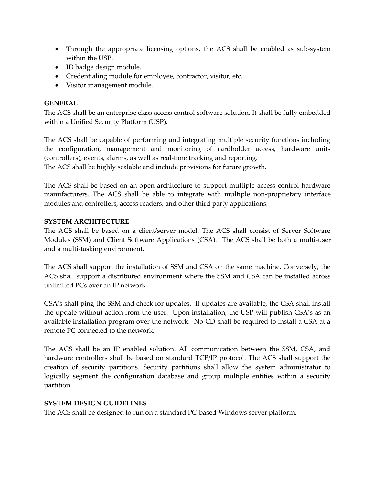- Through the appropriate licensing options, the ACS shall be enabled as sub-system within the USP.
- ID badge design module.
- Credentialing module for employee, contractor, visitor, etc.
- Visitor management module.

### **GENERAL**

The ACS shall be an enterprise class access control software solution. It shall be fully embedded within a Unified Security Platform (USP).

The ACS shall be capable of performing and integrating multiple security functions including the configuration, management and monitoring of cardholder access, hardware units (controllers), events, alarms, as well as real-time tracking and reporting.

The ACS shall be highly scalable and include provisions for future growth.

The ACS shall be based on an open architecture to support multiple access control hardware manufacturers. The ACS shall be able to integrate with multiple non-proprietary interface modules and controllers, access readers, and other third party applications.

#### **SYSTEM ARCHITECTURE**

The ACS shall be based on a client/server model. The ACS shall consist of Server Software Modules (SSM) and Client Software Applications (CSA). The ACS shall be both a multi-user and a multi-tasking environment.

The ACS shall support the installation of SSM and CSA on the same machine. Conversely, the ACS shall support a distributed environment where the SSM and CSA can be installed across unlimited PCs over an IP network.

CSA's shall ping the SSM and check for updates. If updates are available, the CSA shall install the update without action from the user. Upon installation, the USP will publish CSA's as an available installation program over the network. No CD shall be required to install a CSA at a remote PC connected to the network.

The ACS shall be an IP enabled solution. All communication between the SSM, CSA, and hardware controllers shall be based on standard TCP/IP protocol. The ACS shall support the creation of security partitions. Security partitions shall allow the system administrator to logically segment the configuration database and group multiple entities within a security partition.

#### **SYSTEM DESIGN GUIDELINES**

The ACS shall be designed to run on a standard PC-based Windows server platform.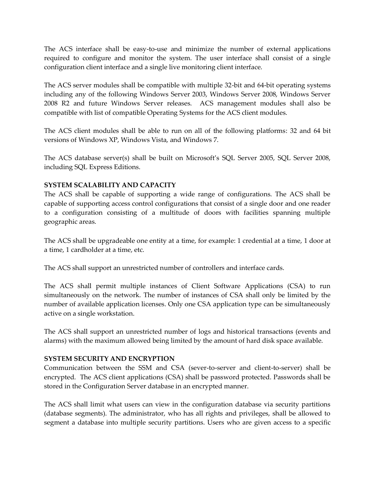The ACS interface shall be easy-to-use and minimize the number of external applications required to configure and monitor the system. The user interface shall consist of a single configuration client interface and a single live monitoring client interface.

The ACS server modules shall be compatible with multiple 32-bit and 64-bit operating systems including any of the following Windows Server 2003, Windows Server 2008, Windows Server 2008 R2 and future Windows Server releases. ACS management modules shall also be compatible with list of compatible Operating Systems for the ACS client modules.

The ACS client modules shall be able to run on all of the following platforms: 32 and 64 bit versions of Windows XP, Windows Vista, and Windows 7.

The ACS database server(s) shall be built on Microsoft's SQL Server 2005, SQL Server 2008, including SQL Express Editions.

# **SYSTEM SCALABILITY AND CAPACITY**

The ACS shall be capable of supporting a wide range of configurations. The ACS shall be capable of supporting access control configurations that consist of a single door and one reader to a configuration consisting of a multitude of doors with facilities spanning multiple geographic areas.

The ACS shall be upgradeable one entity at a time, for example: 1 credential at a time, 1 door at a time, 1 cardholder at a time, etc.

The ACS shall support an unrestricted number of controllers and interface cards.

The ACS shall permit multiple instances of Client Software Applications (CSA) to run simultaneously on the network. The number of instances of CSA shall only be limited by the number of available application licenses. Only one CSA application type can be simultaneously active on a single workstation.

The ACS shall support an unrestricted number of logs and historical transactions (events and alarms) with the maximum allowed being limited by the amount of hard disk space available.

# **SYSTEM SECURITY AND ENCRYPTION**

Communication between the SSM and CSA (sever-to-server and client-to-server) shall be encrypted. The ACS client applications (CSA) shall be password protected. Passwords shall be stored in the Configuration Server database in an encrypted manner.

The ACS shall limit what users can view in the configuration database via security partitions (database segments). The administrator, who has all rights and privileges, shall be allowed to segment a database into multiple security partitions. Users who are given access to a specific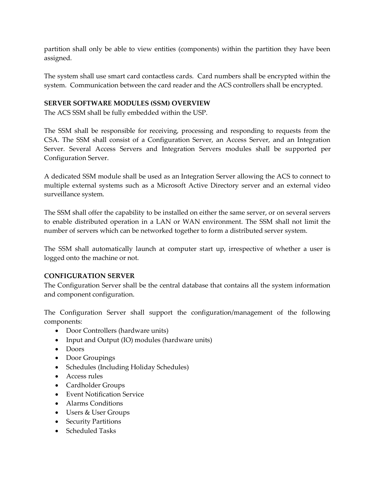partition shall only be able to view entities (components) within the partition they have been assigned.

The system shall use smart card contactless cards. Card numbers shall be encrypted within the system. Communication between the card reader and the ACS controllers shall be encrypted.

#### **SERVER SOFTWARE MODULES (SSM) OVERVIEW**

The ACS SSM shall be fully embedded within the USP.

The SSM shall be responsible for receiving, processing and responding to requests from the CSA. The SSM shall consist of a Configuration Server, an Access Server, and an Integration Server. Several Access Servers and Integration Servers modules shall be supported per Configuration Server.

A dedicated SSM module shall be used as an Integration Server allowing the ACS to connect to multiple external systems such as a Microsoft Active Directory server and an external video surveillance system.

The SSM shall offer the capability to be installed on either the same server, or on several servers to enable distributed operation in a LAN or WAN environment. The SSM shall not limit the number of servers which can be networked together to form a distributed server system.

The SSM shall automatically launch at computer start up, irrespective of whether a user is logged onto the machine or not.

#### **CONFIGURATION SERVER**

The Configuration Server shall be the central database that contains all the system information and component configuration.

The Configuration Server shall support the configuration/management of the following components:

- Door Controllers (hardware units)
- Input and Output (IO) modules (hardware units)
- Doors
- Door Groupings
- Schedules (Including Holiday Schedules)
- Access rules
- Cardholder Groups
- Event Notification Service
- Alarms Conditions
- Users & User Groups
- Security Partitions
- Scheduled Tasks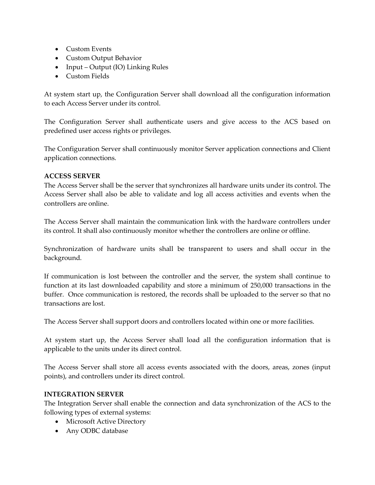- Custom Events
- Custom Output Behavior
- Input Output (IO) Linking Rules
- Custom Fields

At system start up, the Configuration Server shall download all the configuration information to each Access Server under its control.

The Configuration Server shall authenticate users and give access to the ACS based on predefined user access rights or privileges.

The Configuration Server shall continuously monitor Server application connections and Client application connections.

#### **ACCESS SERVER**

The Access Server shall be the server that synchronizes all hardware units under its control. The Access Server shall also be able to validate and log all access activities and events when the controllers are online.

The Access Server shall maintain the communication link with the hardware controllers under its control. It shall also continuously monitor whether the controllers are online or offline.

Synchronization of hardware units shall be transparent to users and shall occur in the background.

If communication is lost between the controller and the server, the system shall continue to function at its last downloaded capability and store a minimum of 250,000 transactions in the buffer. Once communication is restored, the records shall be uploaded to the server so that no transactions are lost.

The Access Server shall support doors and controllers located within one or more facilities.

At system start up, the Access Server shall load all the configuration information that is applicable to the units under its direct control.

The Access Server shall store all access events associated with the doors, areas, zones (input points), and controllers under its direct control.

# **INTEGRATION SERVER**

The Integration Server shall enable the connection and data synchronization of the ACS to the following types of external systems:

- Microsoft Active Directory
- Any ODBC database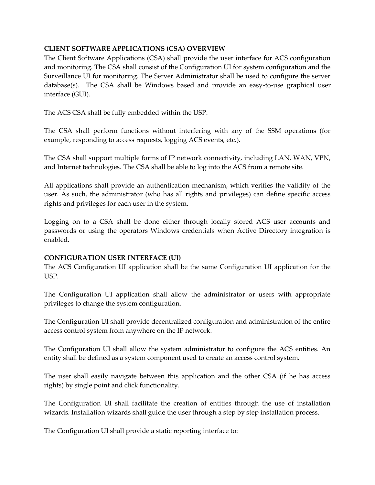### **CLIENT SOFTWARE APPLICATIONS (CSA) OVERVIEW**

The Client Software Applications (CSA) shall provide the user interface for ACS configuration and monitoring. The CSA shall consist of the Configuration UI for system configuration and the Surveillance UI for monitoring. The Server Administrator shall be used to configure the server  $database(s)$ . The CSA shall be Windows based and provide an easy-to-use graphical user interface (GUI).

The ACS CSA shall be fully embedded within the USP.

The CSA shall perform functions without interfering with any of the SSM operations (for example, responding to access requests, logging ACS events, etc.).

The CSA shall support multiple forms of IP network connectivity, including LAN, WAN, VPN, and Internet technologies. The CSA shall be able to log into the ACS from a remote site.

All applications shall provide an authentication mechanism, which verifies the validity of the user. As such, the administrator (who has all rights and privileges) can define specific access rights and privileges for each user in the system.

Logging on to a CSA shall be done either through locally stored ACS user accounts and passwords or using the operators Windows credentials when Active Directory integration is enabled.

#### **CONFIGURATION USER INTERFACE (UI)**

The ACS Configuration UI application shall be the same Configuration UI application for the USP.

The Configuration UI application shall allow the administrator or users with appropriate privileges to change the system configuration.

The Configuration UI shall provide decentralized configuration and administration of the entire access control system from anywhere on the IP network.

The Configuration UI shall allow the system administrator to configure the ACS entities. An entity shall be defined as a system component used to create an access control system.

The user shall easily navigate between this application and the other CSA (if he has access rights) by single point and click functionality.

The Configuration UI shall facilitate the creation of entities through the use of installation wizards. Installation wizards shall guide the user through a step by step installation process.

The Configuration UI shall provide a static reporting interface to: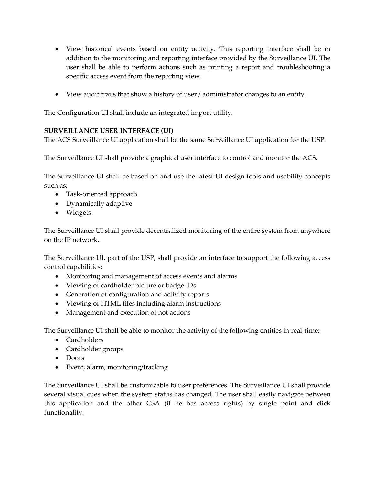- View historical events based on entity activity. This reporting interface shall be in addition to the monitoring and reporting interface provided by the Surveillance UI. The user shall be able to perform actions such as printing a report and troubleshooting a specific access event from the reporting view.
- View audit trails that show a history of user / administrator changes to an entity.

The Configuration UI shall include an integrated import utility.

# **SURVEILLANCE USER INTERFACE (UI)**

The ACS Surveillance UI application shall be the same Surveillance UI application for the USP.

The Surveillance UI shall provide a graphical user interface to control and monitor the ACS.

The Surveillance UI shall be based on and use the latest UI design tools and usability concepts such as:

- Task-oriented approach
- Dynamically adaptive
- Widgets

The Surveillance UI shall provide decentralized monitoring of the entire system from anywhere on the IP network.

The Surveillance UI, part of the USP, shall provide an interface to support the following access control capabilities:

- Monitoring and management of access events and alarms
- Viewing of cardholder picture or badge IDs
- Generation of configuration and activity reports
- Viewing of HTML files including alarm instructions
- Management and execution of hot actions

The Surveillance UI shall be able to monitor the activity of the following entities in real-time:

- Cardholders
- Cardholder groups
- Doors
- Event, alarm, monitoring/tracking

The Surveillance UI shall be customizable to user preferences. The Surveillance UI shall provide several visual cues when the system status has changed. The user shall easily navigate between this application and the other CSA (if he has access rights) by single point and click functionality.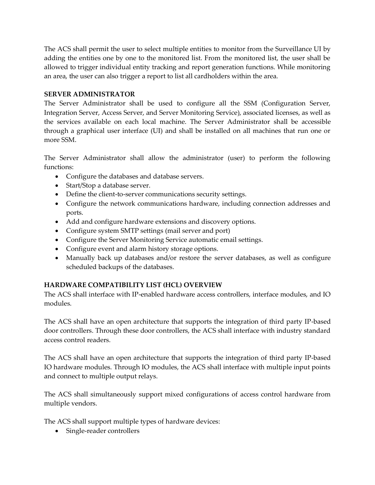The ACS shall permit the user to select multiple entities to monitor from the Surveillance UI by adding the entities one by one to the monitored list. From the monitored list, the user shall be allowed to trigger individual entity tracking and report generation functions. While monitoring an area, the user can also trigger a report to list all cardholders within the area.

### **SERVER ADMINISTRATOR**

The Server Administrator shall be used to configure all the SSM (Configuration Server, Integration Server, Access Server, and Server Monitoring Service), associated licenses, as well as the services available on each local machine. The Server Administrator shall be accessible through a graphical user interface (UI) and shall be installed on all machines that run one or more SSM.

The Server Administrator shall allow the administrator (user) to perform the following functions:

- Configure the databases and database servers.
- Start/Stop a database server.
- Define the client-to-server communications security settings.
- Configure the network communications hardware, including connection addresses and ports.
- Add and configure hardware extensions and discovery options.
- Configure system SMTP settings (mail server and port)
- Configure the Server Monitoring Service automatic email settings.
- Configure event and alarm history storage options.
- Manually back up databases and/or restore the server databases, as well as configure scheduled backups of the databases.

# **HARDWARE COMPATIBILITY LIST (HCL) OVERVIEW**

The ACS shall interface with IP-enabled hardware access controllers, interface modules, and IO modules.

The ACS shall have an open architecture that supports the integration of third party IP-based door controllers. Through these door controllers, the ACS shall interface with industry standard access control readers.

The ACS shall have an open architecture that supports the integration of third party IP-based IO hardware modules. Through IO modules, the ACS shall interface with multiple input points and connect to multiple output relays.

The ACS shall simultaneously support mixed configurations of access control hardware from multiple vendors.

The ACS shall support multiple types of hardware devices:

Single-reader controllers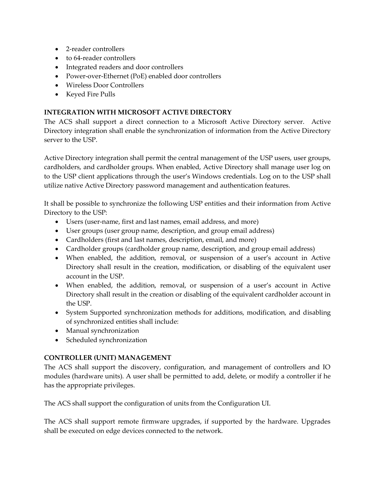- 2-reader controllers
- to 64-reader controllers
- Integrated readers and door controllers
- Power-over-Ethernet (PoE) enabled door controllers
- Wireless Door Controllers
- Keyed Fire Pulls

# **INTEGRATION WITH MICROSOFT ACTIVE DIRECTORY**

The ACS shall support a direct connection to a Microsoft Active Directory server. Active Directory integration shall enable the synchronization of information from the Active Directory server to the USP.

Active Directory integration shall permit the central management of the USP users, user groups, cardholders, and cardholder groups. When enabled, Active Directory shall manage user log on to the USP client applications through the user's Windows credentials. Log on to the USP shall utilize native Active Directory password management and authentication features.

It shall be possible to synchronize the following USP entities and their information from Active Directory to the USP:

- Users (user-name, first and last names, email address, and more)
- User groups (user group name, description, and group email address)
- Cardholders (first and last names, description, email, and more)
- Cardholder groups (cardholder group name, description, and group email address)
- When enabled, the addition, removal, or suspension of a user's account in Active Directory shall result in the creation, modification, or disabling of the equivalent user account in the USP.
- When enabled, the addition, removal, or suspension of a user's account in Active Directory shall result in the creation or disabling of the equivalent cardholder account in the USP.
- System Supported synchronization methods for additions, modification, and disabling of synchronized entities shall include:
- Manual synchronization
- Scheduled synchronization

# **CONTROLLER (UNIT) MANAGEMENT**

The ACS shall support the discovery, configuration, and management of controllers and IO modules (hardware units). A user shall be permitted to add, delete, or modify a controller if he has the appropriate privileges.

The ACS shall support the configuration of units from the Configuration UI.

The ACS shall support remote firmware upgrades, if supported by the hardware. Upgrades shall be executed on edge devices connected to the network.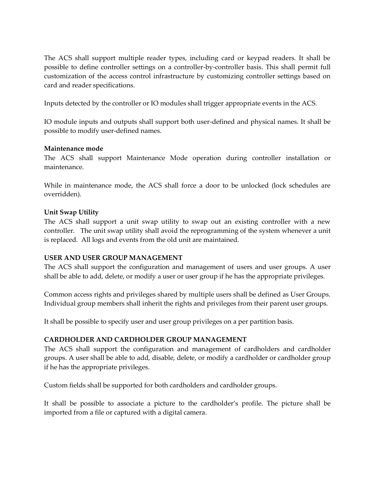The ACS shall support multiple reader types, including card or keypad readers. It shall be possible to define controller settings on a controller-by-controller basis. This shall permit full customization of the access control infrastructure by customizing controller settings based on card and reader specifications.

Inputs detected by the controller or IO modules shall trigger appropriate events in the ACS.

IO module inputs and outputs shall support both user-defined and physical names. It shall be possible to modify user-defined names.

# **Maintenance mode**

The ACS shall support Maintenance Mode operation during controller installation or maintenance.

While in maintenance mode, the ACS shall force a door to be unlocked (lock schedules are overridden).

# **Unit Swap Utility**

The ACS shall support a unit swap utility to swap out an existing controller with a new controller. The unit swap utility shall avoid the reprogramming of the system whenever a unit is replaced. All logs and events from the old unit are maintained.

# **USER AND USER GROUP MANAGEMENT**

The ACS shall support the configuration and management of users and user groups. A user shall be able to add, delete, or modify a user or user group if he has the appropriate privileges.

Common access rights and privileges shared by multiple users shall be defined as User Groups. Individual group members shall inherit the rights and privileges from their parent user groups.

It shall be possible to specify user and user group privileges on a per partition basis.

# **CARDHOLDER AND CARDHOLDER GROUP MANAGEMENT**

The ACS shall support the configuration and management of cardholders and cardholder groups. A user shall be able to add, disable, delete, or modify a cardholder or cardholder group if he has the appropriate privileges.

Custom fields shall be supported for both cardholders and cardholder groups.

It shall be possible to associate a picture to the cardholder's profile. The picture shall be imported from a file or captured with a digital camera.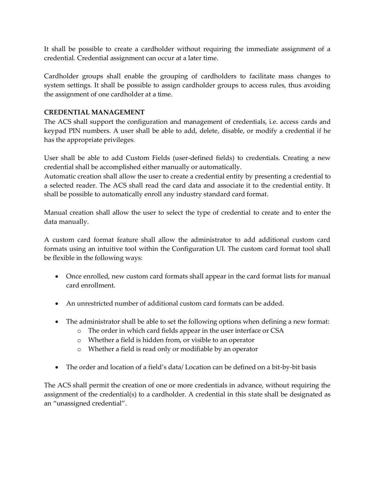It shall be possible to create a cardholder without requiring the immediate assignment of a credential. Credential assignment can occur at a later time.

Cardholder groups shall enable the grouping of cardholders to facilitate mass changes to system settings. It shall be possible to assign cardholder groups to access rules, thus avoiding the assignment of one cardholder at a time.

# **CREDENTIAL MANAGEMENT**

The ACS shall support the configuration and management of credentials, i.e. access cards and keypad PIN numbers. A user shall be able to add, delete, disable, or modify a credential if he has the appropriate privileges.

User shall be able to add Custom Fields (user-defined fields) to credentials. Creating a new credential shall be accomplished either manually or automatically.

Automatic creation shall allow the user to create a credential entity by presenting a credential to a selected reader. The ACS shall read the card data and associate it to the credential entity. It shall be possible to automatically enroll any industry standard card format.

Manual creation shall allow the user to select the type of credential to create and to enter the data manually.

A custom card format feature shall allow the administrator to add additional custom card formats using an intuitive tool within the Configuration UI. The custom card format tool shall be flexible in the following ways:

- Once enrolled, new custom card formats shall appear in the card format lists for manual card enrollment.
- An unrestricted number of additional custom card formats can be added.
- The administrator shall be able to set the following options when defining a new format:
	- o The order in which card fields appear in the user interface or CSA
	- o Whether a field is hidden from, or visible to an operator
	- o Whether a field is read only or modifiable by an operator
- The order and location of a field's data/ Location can be defined on a bit-by-bit basis

The ACS shall permit the creation of one or more credentials in advance, without requiring the assignment of the credential(s) to a cardholder. A credential in this state shall be designated as an "unassigned credential".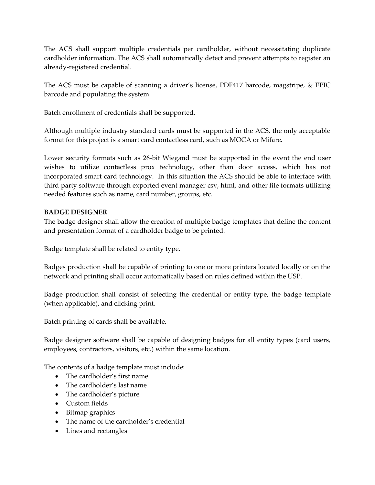The ACS shall support multiple credentials per cardholder, without necessitating duplicate cardholder information. The ACS shall automatically detect and prevent attempts to register an already-registered credential.

The ACS must be capable of scanning a driver's license, PDF417 barcode, magstripe, & EPIC barcode and populating the system.

Batch enrollment of credentials shall be supported.

Although multiple industry standard cards must be supported in the ACS, the only acceptable format for this project is a smart card contactless card, such as MOCA or Mifare.

Lower security formats such as 26-bit Wiegand must be supported in the event the end user wishes to utilize contactless prox technology, other than door access, which has not incorporated smart card technology. In this situation the ACS should be able to interface with third party software through exported event manager csv, html, and other file formats utilizing needed features such as name, card number, groups, etc.

# **BADGE DESIGNER**

The badge designer shall allow the creation of multiple badge templates that define the content and presentation format of a cardholder badge to be printed.

Badge template shall be related to entity type.

Badges production shall be capable of printing to one or more printers located locally or on the network and printing shall occur automatically based on rules defined within the USP.

Badge production shall consist of selecting the credential or entity type, the badge template (when applicable), and clicking print.

Batch printing of cards shall be available.

Badge designer software shall be capable of designing badges for all entity types (card users, employees, contractors, visitors, etc.) within the same location.

The contents of a badge template must include:

- The cardholder's first name
- The cardholder's last name
- The cardholder's picture
- Custom fields
- Bitmap graphics
- The name of the cardholder's credential
- Lines and rectangles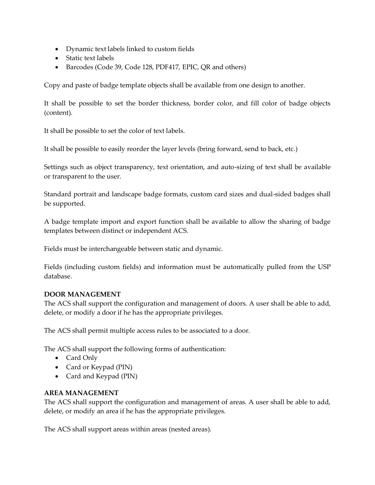- Dynamic text labels linked to custom fields
- Static text labels
- Barcodes (Code 39, Code 128, PDF417, EPIC, QR and others)

Copy and paste of badge template objects shall be available from one design to another.

It shall be possible to set the border thickness, border color, and fill color of badge objects (content).

It shall be possible to set the color of text labels.

It shall be possible to easily reorder the layer levels (bring forward, send to back, etc.)

Settings such as object transparency, text orientation, and auto-sizing of text shall be available or transparent to the user.

Standard portrait and landscape badge formats, custom card sizes and dual-sided badges shall be supported.

A badge template import and export function shall be available to allow the sharing of badge templates between distinct or independent ACS.

Fields must be interchangeable between static and dynamic.

Fields (including custom fields) and information must be automatically pulled from the USP database.

#### **DOOR MANAGEMENT**

The ACS shall support the configuration and management of doors. A user shall be able to add, delete, or modify a door if he has the appropriate privileges.

The ACS shall permit multiple access rules to be associated to a door.

The ACS shall support the following forms of authentication:

- Card Only
- Card or Keypad (PIN)
- Card and Keypad (PIN)

# **AREA MANAGEMENT**

The ACS shall support the configuration and management of areas. A user shall be able to add, delete, or modify an area if he has the appropriate privileges.

The ACS shall support areas within areas (nested areas).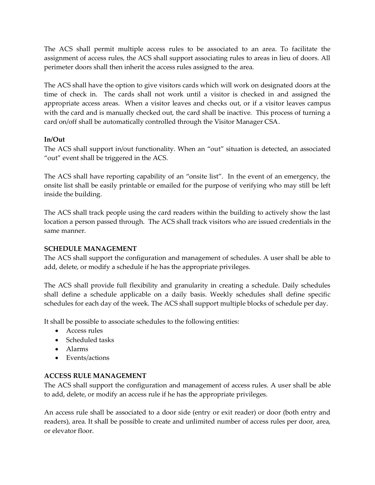The ACS shall permit multiple access rules to be associated to an area. To facilitate the assignment of access rules, the ACS shall support associating rules to areas in lieu of doors. All perimeter doors shall then inherit the access rules assigned to the area.

The ACS shall have the option to give visitors cards which will work on designated doors at the time of check in. The cards shall not work until a visitor is checked in and assigned the appropriate access areas. When a visitor leaves and checks out, or if a visitor leaves campus with the card and is manually checked out, the card shall be inactive. This process of turning a card on/off shall be automatically controlled through the Visitor Manager CSA.

# **In/Out**

The ACS shall support in/out functionality. When an "out" situation is detected, an associated "out" event shall be triggered in the ACS.

The ACS shall have reporting capability of an "onsite list". In the event of an emergency, the onsite list shall be easily printable or emailed for the purpose of verifying who may still be left inside the building.

The ACS shall track people using the card readers within the building to actively show the last location a person passed through. The ACS shall track visitors who are issued credentials in the same manner.

# **SCHEDULE MANAGEMENT**

The ACS shall support the configuration and management of schedules. A user shall be able to add, delete, or modify a schedule if he has the appropriate privileges.

The ACS shall provide full flexibility and granularity in creating a schedule. Daily schedules shall define a schedule applicable on a daily basis. Weekly schedules shall define specific schedules for each day of the week. The ACS shall support multiple blocks of schedule per day.

It shall be possible to associate schedules to the following entities:

- Access rules
- Scheduled tasks
- Alarms
- Events/actions

# **ACCESS RULE MANAGEMENT**

The ACS shall support the configuration and management of access rules. A user shall be able to add, delete, or modify an access rule if he has the appropriate privileges.

An access rule shall be associated to a door side (entry or exit reader) or door (both entry and readers), area. It shall be possible to create and unlimited number of access rules per door, area, or elevator floor.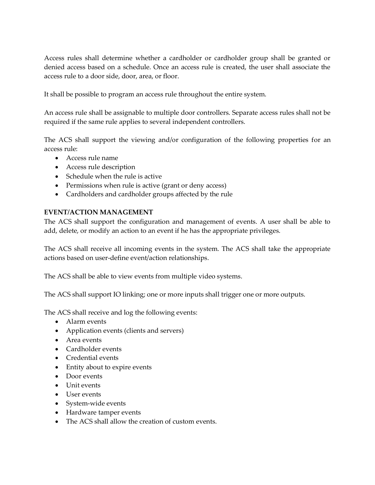Access rules shall determine whether a cardholder or cardholder group shall be granted or denied access based on a schedule. Once an access rule is created, the user shall associate the access rule to a door side, door, area, or floor.

It shall be possible to program an access rule throughout the entire system.

An access rule shall be assignable to multiple door controllers. Separate access rules shall not be required if the same rule applies to several independent controllers.

The ACS shall support the viewing and/or configuration of the following properties for an access rule:

- Access rule name
- Access rule description
- Schedule when the rule is active
- Permissions when rule is active (grant or deny access)
- Cardholders and cardholder groups affected by the rule

# **EVENT/ACTION MANAGEMENT**

The ACS shall support the configuration and management of events. A user shall be able to add, delete, or modify an action to an event if he has the appropriate privileges.

The ACS shall receive all incoming events in the system. The ACS shall take the appropriate actions based on user-define event/action relationships.

The ACS shall be able to view events from multiple video systems.

The ACS shall support IO linking; one or more inputs shall trigger one or more outputs.

The ACS shall receive and log the following events:

- Alarm events
- Application events (clients and servers)
- Area events
- Cardholder events
- Credential events
- Entity about to expire events
- Door events
- Unit events
- User events
- System-wide events
- Hardware tamper events
- The ACS shall allow the creation of custom events.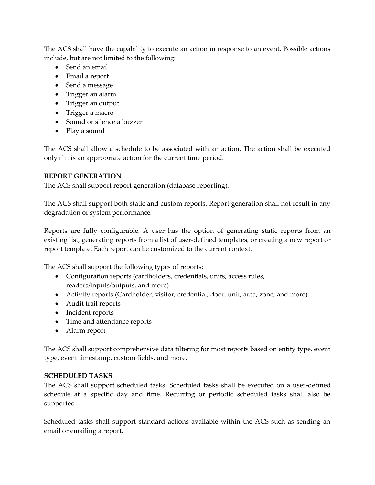The ACS shall have the capability to execute an action in response to an event. Possible actions include, but are not limited to the following:

- Send an email
- Email a report
- Send a message
- Trigger an alarm
- Trigger an output
- Trigger a macro
- Sound or silence a buzzer
- Play a sound

The ACS shall allow a schedule to be associated with an action. The action shall be executed only if it is an appropriate action for the current time period.

# **REPORT GENERATION**

The ACS shall support report generation (database reporting).

The ACS shall support both static and custom reports. Report generation shall not result in any degradation of system performance.

Reports are fully configurable. A user has the option of generating static reports from an existing list, generating reports from a list of user-defined templates, or creating a new report or report template. Each report can be customized to the current context.

The ACS shall support the following types of reports:

- Configuration reports (cardholders, credentials, units, access rules, readers/inputs/outputs, and more)
- Activity reports (Cardholder, visitor, credential, door, unit, area, zone, and more)
- Audit trail reports
- Incident reports
- Time and attendance reports
- Alarm report

The ACS shall support comprehensive data filtering for most reports based on entity type, event type, event timestamp, custom fields, and more.

# **SCHEDULED TASKS**

The ACS shall support scheduled tasks. Scheduled tasks shall be executed on a user-defined schedule at a specific day and time. Recurring or periodic scheduled tasks shall also be supported.

Scheduled tasks shall support standard actions available within the ACS such as sending an email or emailing a report.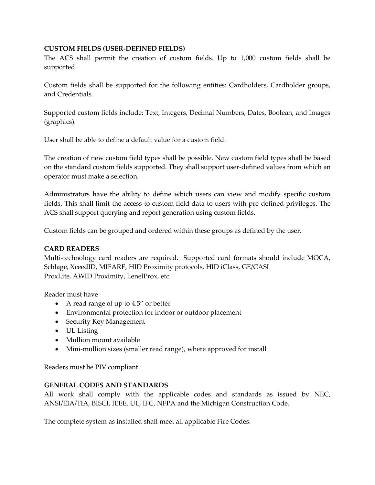#### **CUSTOM FIELDS (USER-DEFINED FIELDS)**

The ACS shall permit the creation of custom fields. Up to 1,000 custom fields shall be supported.

Custom fields shall be supported for the following entities: Cardholders, Cardholder groups, and Credentials.

Supported custom fields include: Text, Integers, Decimal Numbers, Dates, Boolean, and Images (graphics).

User shall be able to define a default value for a custom field.

The creation of new custom field types shall be possible. New custom field types shall be based on the standard custom fields supported. They shall support user-defined values from which an operator must make a selection.

Administrators have the ability to define which users can view and modify specific custom fields. This shall limit the access to custom field data to users with pre-defined privileges. The ACS shall support querying and report generation using custom fields.

Custom fields can be grouped and ordered within these groups as defined by the user.

#### **CARD READERS**

Multi-technology card readers are required. Supported card formats should include MOCA, Schlage, XceedID, MIFARE, HID Proximity protocols, HID iClass, GE/CASI ProxLite, AWID Proximity, LenelProx, etc.

Reader must have

- A read range of up to 4.5" or better
- Environmental protection for indoor or outdoor placement
- Security Key Management
- UL Listing
- Mullion mount available
- Mini-mullion sizes (smaller read range), where approved for install

Readers must be PIV compliant.

#### **GENERAL CODES AND STANDARDS**

All work shall comply with the applicable codes and standards as issued by NEC, ANSI/EIA/TIA, BISCI, IEEE, UL, IFC, NFPA and the Michigan Construction Code.

The complete system as installed shall meet all applicable Fire Codes.